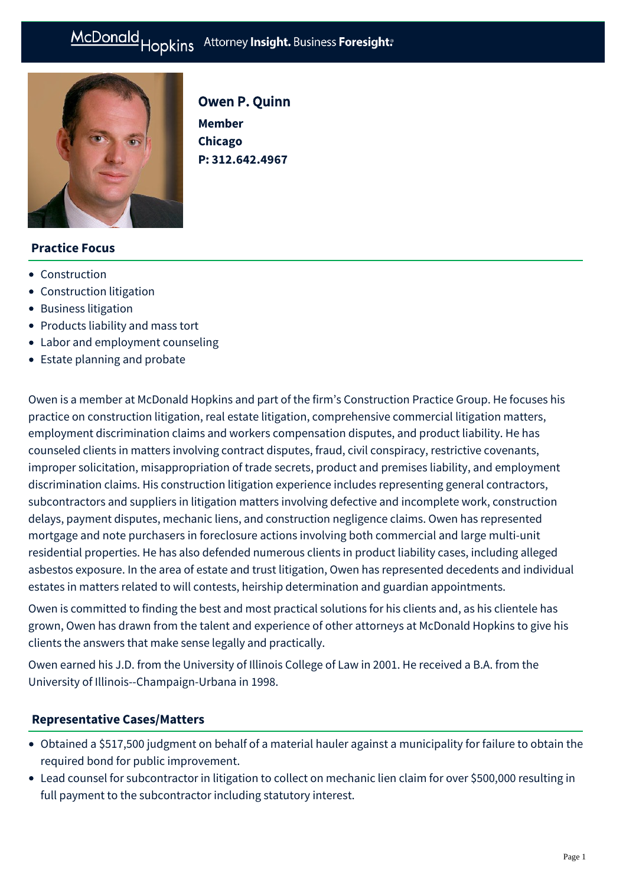# McDonald Hopkins Attorney Insight. Business Foresight:



Owen P. Quinn

**Member Chicago P: [312.642.4967](tel:312.642.4967)**

# **Practice Focus**

- [Construction](https://mcdonaldhopkins.com/Expertise/Industries/Construction)
- [Construction litigation](https://mcdonaldhopkins.com/Expertise/Litigation/Construction-litigation)
- [Business litigation](https://mcdonaldhopkins.com/Expertise/Litigation/Business-litigation)
- [Products liability and mass tort](https://mcdonaldhopkins.com/Expertise/Litigation/Products-liability-and-mass-tort)
- [Labor and employment counseling](https://mcdonaldhopkins.com/Expertise/Labor-and-employment/Labor-and-employment-counseling)
- [Estate planning and probate](https://mcdonaldhopkins.com/Expertise/Estate-planning-and-probate)

Owen is a member at McDonald Hopkins and part of the firm's Construction Practice Group. He focuses his practice on construction litigation, real estate litigation, comprehensive commercial litigation matters, employment discrimination claims and workers compensation disputes, and product liability. He has counseled clients in matters involving contract disputes, fraud, civil conspiracy, restrictive covenants, improper solicitation, misappropriation of trade secrets, product and premises liability, and employment discrimination claims. His construction litigation experience includes representing general contractors, subcontractors and suppliers in litigation matters involving defective and incomplete work, construction delays, payment disputes, mechanic liens, and construction negligence claims. Owen has represented mortgage and note purchasers in foreclosure actions involving both commercial and large multi-unit residential properties. He has also defended numerous clients in product liability cases, including alleged asbestos exposure. In the area of estate and trust litigation, Owen has represented decedents and individual estates in matters related to will contests, heirship determination and guardian appointments.

Owen is committed to finding the best and most practical solutions for his clients and, as his clientele has grown, Owen has drawn from the talent and experience of other attorneys at McDonald Hopkins to give his clients the answers that make sense legally and practically.

Owen earned his J.D. from the University of Illinois College of Law in 2001. He received a B.A. from the University of Illinois--Champaign-Urbana in 1998.

## **[Representative Cases/Matters](#page-0-0)**

- <span id="page-0-0"></span>Obtained a \$517,500 judgment on behalf of a material hauler against a municipality for failure to obtain the required bond for public improvement.
- Lead counsel for subcontractor in litigation to collect on mechanic lien claim for over \$500,000 resulting in full payment to the subcontractor including statutory interest.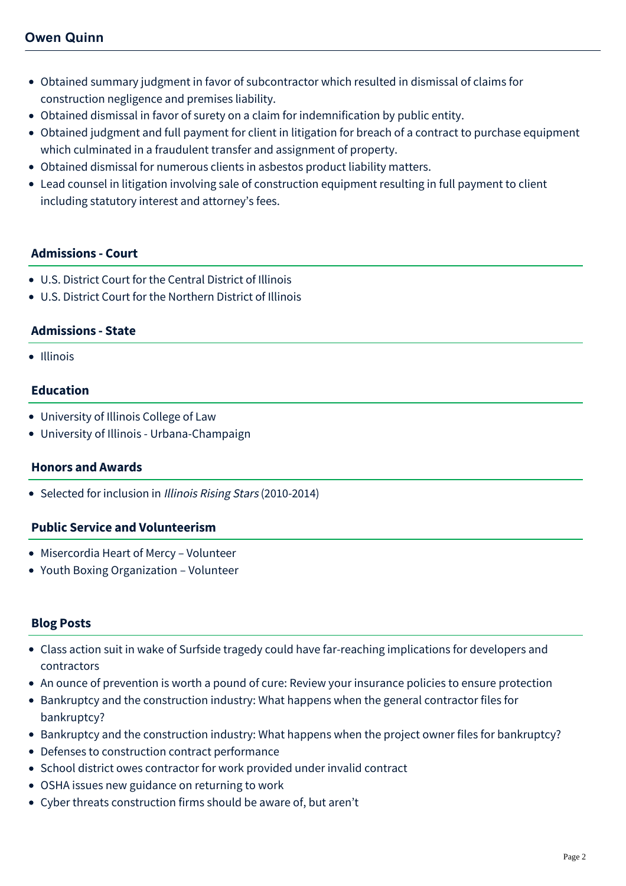- Obtained summary judgment in favor of subcontractor which resulted in dismissal of claims for construction negligence and premises liability.
- Obtained dismissal in favor of surety on a claim for indemnification by public entity.
- Obtained judgment and full payment for client in litigation for breach of a contract to purchase equipment which culminated in a fraudulent transfer and assignment of property.
- Obtained dismissal for numerous clients in asbestos product liability matters.
- Lead counsel in litigation involving sale of construction equipment resulting in full payment to client including statutory interest and attorney's fees.

## **Admissions - Court**

- U.S. District Court for the Central District of Illinois
- U.S. District Court for the Northern District of Illinois

## **Admissions - State**

• Illinois

# **Education**

- University of Illinois College of Law
- University of Illinois Urbana-Champaign

## **Honors and Awards**

• Selected for inclusion in Illinois Rising Stars (2010-2014)

## **Public Service and Volunteerism**

- Misercordia Heart of Mercy Volunteer
- Youth Boxing Organization Volunteer

# **Blog Posts**

- [Class action suit in wake of Surfside tragedy could have far-reaching implications for developers and](https://mcdonaldhopkins.com/Insights/December-2021/Class-action-suit-following-Surfside-tragedy-could) contractors
- [An ounce of prevention is worth a pound of cure: Review your insurance policies to ensure protection](https://mcdonaldhopkins.com/Insights/August-2021/Review-your-insurance-policies-to-ensure-protectio)
- [Bankruptcy and the construction industry: What happens when the general contractor files for](https://mcdonaldhopkins.com/Insights/July-2020/Bankruptcy-and-the-construction-industry-What-(1)) bankruptcy?
- [Bankruptcy and the construction industry: What happens when the project owner files for bankruptcy?](https://mcdonaldhopkins.com/Insights/July-2020/Bankruptcy-and-the-construction-industry-What-happ)
- [Defenses to construction contract performance](https://mcdonaldhopkins.com/Insights/July-2020/Defenses-to-construction-contract-performance)
- [School district owes contractor for work provided under invalid contract](https://mcdonaldhopkins.com/Insights/July-2020/School-district-owes-contractor-for-work-provided)
- [OSHA issues new guidance on returning to work](https://mcdonaldhopkins.com/Insights/June-2020-(1)/OSHA-issues-new-guidance-on-returning-to-work)
- [Cyber threats construction firms should be aware of, but aren't](https://mcdonaldhopkins.com/Insights/November-2019/Cyber-threats-construction-firms-should-be-aware-o)